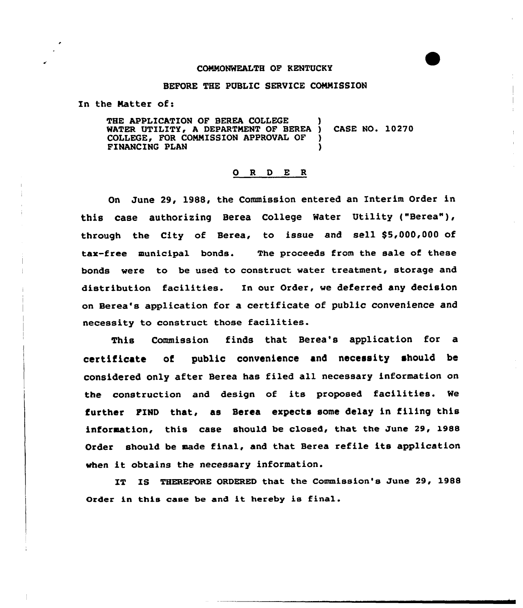## COMMONWEALTH OF KENTUCKY

## BEFORE THE PUBLIC SERVICE CONNISSION

In the Matter of:

THE APPLICATION OF BEREA COLLEGE WATER UTILITY, <sup>A</sup> DEPARTMENT OF BEREA ) CASE NO. 10270 COLLEGE, FOR COMMISSION APPROVAL OF FINANCING PLAN )

## 0 R <sup>D</sup> E R

On June 29, 1988, the Commission entered an Interim Order in this case authorizing Berea College Water Utility ("Berea"), through the City of Berea, to issue and sell \$5,000,000 of tax-free municipal bonds. The proceeds from the sale of these bonds were to be used to construct water treatment, storage and distribution facilities. In our Order, we deferred any decision on Heres's application for a certificate of public convenience and necessity to construct those facilities.

This Commission finds that Berea's application for a certificate of public convenience and necessity should be considered only after Berea has filed all necessary information on the construction and design of its proposed facilities. We further FIND that, as Berea expects some delay in filing this information, this case should be closed, that the June 29, 1988 Order should be made final, and that Berea refile its application when it obtains the necessary information.

IT IS THEREFORE ORDERED that the Commission's June 29, 1988 Order in this case be and it hereby is final.